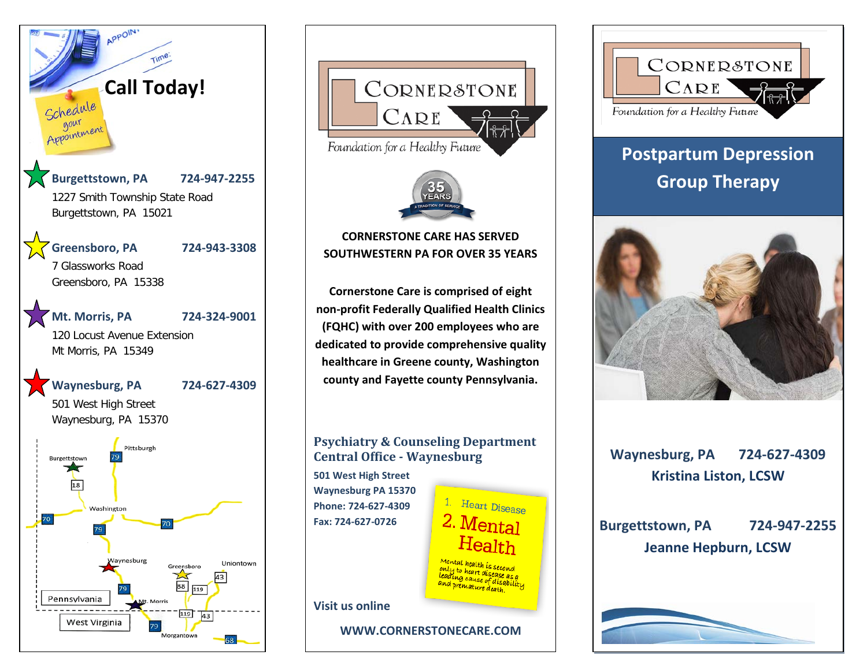





### **CORNERSTONE CARE HAS SERVED SOUTHWESTERN PA FOR OVER 35 YEARS SOUTHWESTERN PA FOR OVER 35 YEARS CORNERSTONE CARE HAS SERVED**

**Cornerstone Care is comprised of eight Cornerstone Care is comprised of eight non-profit Federally Qualified Health Clinics non-profit Federally Qualified Health Clinics (FQHC) with over 200 employees who are (FQHC) with over 200 employees who are dedicated to provide comprehensive quality dedicated to provide comprehensive quality healthcare in Greene county, Washington healthcare in Greene county, Washington county and Fayette county Pennsylvania. county and Fayette county Pennsylvania.** 

## **Psychiatry & Counseling Department Central Office - Waynesburg**

**HP Fax: 724-627-0726 501 West High Street Waynesburg PA 15370 Phone: 724-627-4309**



**WWW.CORNERSTONECARE.COM**



# **Postpartum Depression Group Therapy**



**Waynesburg, PA 724-627-4309 Kristina Liston, LCSW**

**Burgettstown, PA 724-947-2255 Jeanne Hepburn, LCSW**